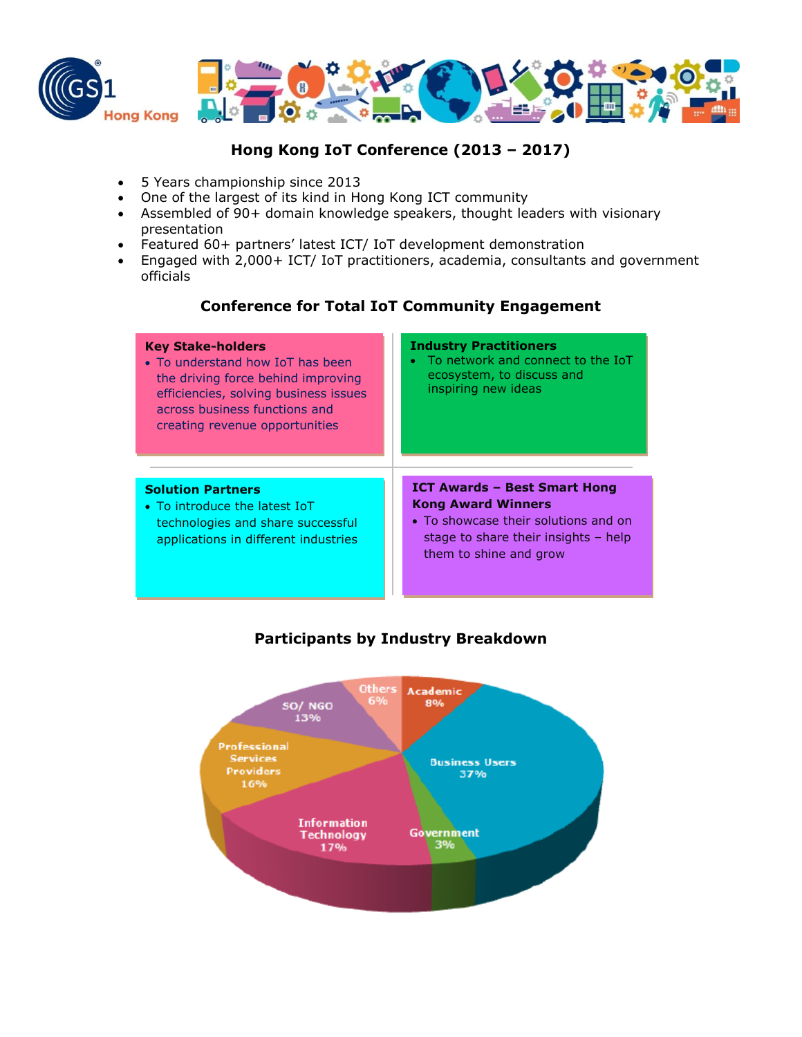



# **Hong Kong IoT Conference (2013 – 2017)**

- 5 Years championship since 2013
- One of the largest of its kind in Hong Kong ICT community
- Assembled of 90+ domain knowledge speakers, thought leaders with visionary presentation
- Featured 60+ partners' latest ICT/ IoT development demonstration
- Engaged with 2,000+ ICT/ IoT practitioners, academia, consultants and government officials

### **Conference for Total IoT Community Engagement**

| <b>Key Stake-holders</b><br>• To understand how IoT has been<br>the driving force behind improving<br>efficiencies, solving business issues<br>across business functions and<br>creating revenue opportunities | <b>Industry Practitioners</b><br>To network and connect to the IoT<br>ecosystem, to discuss and<br>inspiring new ideas                                                       |
|----------------------------------------------------------------------------------------------------------------------------------------------------------------------------------------------------------------|------------------------------------------------------------------------------------------------------------------------------------------------------------------------------|
| <b>Solution Partners</b><br>• To introduce the latest IoT<br>technologies and share successful<br>applications in different industries                                                                         | <b>ICT Awards - Best Smart Hong</b><br><b>Kong Award Winners</b><br>• To showcase their solutions and on<br>stage to share their insights $-$ help<br>them to shine and grow |

# **Participants by Industry Breakdown**

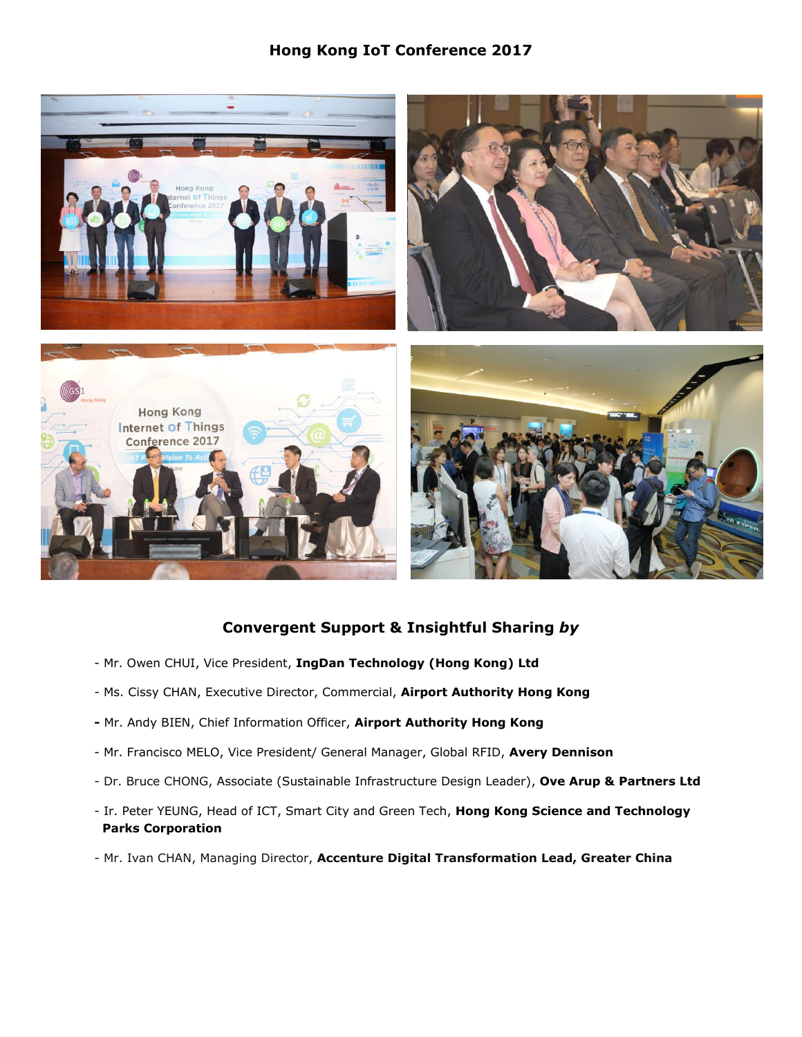# **Hong Kong IoT Conference 2017**



# **Convergent Support & Insightful Sharing** *by*

- Mr. Owen CHUI, Vice President, **IngDan Technology (Hong Kong) Ltd**
- Ms. Cissy CHAN, Executive Director, Commercial, **Airport Authority Hong Kong**
- **-** Mr. Andy BIEN, Chief Information Officer, **Airport Authority Hong Kong**
- Mr. Francisco MELO, Vice President/ General Manager, Global RFID, **Avery Dennison**
- Dr. Bruce CHONG, Associate (Sustainable Infrastructure Design Leader), **Ove Arup & Partners Ltd**
- Ir. Peter YEUNG, Head of ICT, Smart City and Green Tech, **Hong Kong Science and Technology Parks Corporation**
- Mr. Ivan CHAN, Managing Director, **Accenture Digital Transformation Lead, Greater China**